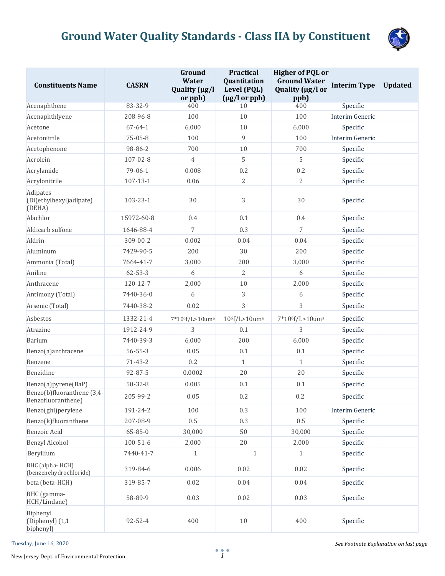

| <b>Constituents Name</b>                         | <b>CASRN</b>   | Ground<br><b>Water</b><br>Quality (µg/l<br>or ppb) | <b>Practical</b><br>Quantitation<br>Level (PQL)<br>$(\mu g/l \text{ or } ppb)$ | <b>Higher of PQL or</b><br><b>Ground Water</b><br>Quality (µg/l or<br>ppb) | <b>Interim Type</b> | <b>Updated</b> |
|--------------------------------------------------|----------------|----------------------------------------------------|--------------------------------------------------------------------------------|----------------------------------------------------------------------------|---------------------|----------------|
| Acenaphthene                                     | 83-32-9        | 400                                                | 10                                                                             | 400                                                                        | Specific            |                |
| Acenaphthlyene                                   | 208-96-8       | 100                                                | 10                                                                             | 100                                                                        | Interim Generic     |                |
| Acetone                                          | $67 - 64 - 1$  | 6,000                                              | $10\,$                                                                         | 6,000                                                                      | Specific            |                |
| Acetonitrile                                     | $75 - 05 - 8$  | 100                                                | $\overline{9}$                                                                 | 100                                                                        | Interim Generic     |                |
| Acetophenone                                     | 98-86-2        | 700                                                | $10\,$                                                                         | 700                                                                        | Specific            |                |
| Acrolein                                         | 107-02-8       | $\overline{4}$                                     | 5                                                                              | 5                                                                          | Specific            |                |
| Acrylamide                                       | 79-06-1        | 0.008                                              | 0.2                                                                            | 0.2                                                                        | Specific            |                |
| Acrylonitrile                                    | $107 - 13 - 1$ | 0.06                                               | 2                                                                              | 2                                                                          | Specific            |                |
| Adipates<br>(Di(ethylhexyl)adipate)<br>(DEHA)    | 103-23-1       | 30                                                 | 3                                                                              | 30                                                                         | Specific            |                |
| Alachlor                                         | 15972-60-8     | 0.4                                                | 0.1                                                                            | 0.4                                                                        | Specific            |                |
| Aldicarb sulfone                                 | 1646-88-4      | 7                                                  | 0.3                                                                            | 7                                                                          | Specific            |                |
| Aldrin                                           | 309-00-2       | 0.002                                              | 0.04                                                                           | 0.04                                                                       | Specific            |                |
| Aluminum                                         | 7429-90-5      | 200                                                | 30                                                                             | 200                                                                        | Specific            |                |
| Ammonia (Total)                                  | 7664-41-7      | 3,000                                              | 200                                                                            | 3,000                                                                      | Specific            |                |
| Aniline                                          | $62 - 53 - 3$  | 6                                                  | 2                                                                              | 6                                                                          | Specific            |                |
| Anthracene                                       | 120-12-7       | 2,000                                              | 10                                                                             | 2,000                                                                      | Specific            |                |
| Antimony (Total)                                 | 7440-36-0      | 6                                                  | 3                                                                              | 6                                                                          | Specific            |                |
| Arsenic (Total)                                  | 7440-38-2      | 0.02                                               | 3                                                                              | 3                                                                          | Specific            |                |
| Asbestos                                         | 1332-21-4      | 7*10 <sup>6</sup> f/L>10um <sup>a</sup>            | 10 <sup>6</sup> f/L>10um <sup>a</sup>                                          | 7*10 <sup>6</sup> f/L>10um <sup>a</sup>                                    | Specific            |                |
| Atrazine                                         | 1912-24-9      | 3                                                  | 0.1                                                                            | 3                                                                          | Specific            |                |
| Barium                                           | 7440-39-3      | 6,000                                              | 200                                                                            | 6,000                                                                      | Specific            |                |
| Benzo(a)anthracene                               | $56 - 55 - 3$  | 0.05                                               | 0.1                                                                            | 0.1                                                                        | Specific            |                |
| Benzene                                          | $71 - 43 - 2$  | 0.2                                                | $\mathbf{1}$                                                                   | 1                                                                          | Specific            |                |
| Benzidine                                        | $92 - 87 - 5$  | 0.0002                                             | 20                                                                             | 20                                                                         | Specific            |                |
| Benzo(a)pyrene(BaP)                              | $50 - 32 - 8$  | 0.005                                              | 0.1                                                                            | 0.1                                                                        | Specific            |                |
| Benzo(b)fluoranthene (3,4-<br>Benzofluoranthene) | 205-99-2       | 0.05                                               | 0.2                                                                            | 0.2                                                                        | Specific            |                |
| Benzo(ghi)perylene                               | 191-24-2       | 100                                                | 0.3                                                                            | 100                                                                        | Interim Generic     |                |
| Benzo(k)fluoranthene                             | 207-08-9       | $0.5\,$                                            | 0.3                                                                            | $0.5\,$                                                                    | Specific            |                |
| Benzoic Acid                                     | $65 - 85 - 0$  | 30,000                                             | $50\,$                                                                         | 30,000                                                                     | Specific            |                |
| <b>Benzyl Alcohol</b>                            | $100 - 51 - 6$ | 2,000                                              | 20                                                                             | 2,000                                                                      | Specific            |                |
| Beryllium                                        | 7440-41-7      | 1                                                  | $\mathbf{1}$                                                                   | 1                                                                          | Specific            |                |
| BHC (alpha-HCH)<br>(benzenehydrochloride)        | 319-84-6       | 0.006                                              | 0.02                                                                           | 0.02                                                                       | Specific            |                |
| beta (beta-HCH)                                  | 319-85-7       | 0.02                                               | 0.04                                                                           | $0.04\,$                                                                   | Specific            |                |
| BHC (gamma-<br>HCH/Lindane)                      | 58-89-9        | 0.03                                               | 0.02                                                                           | 0.03                                                                       | Specific            |                |
| Biphenyl<br>(Diphenyl) (1,1<br>biphenyl)         | 92-52-4        | 400                                                | $10\,$                                                                         | 400                                                                        | Specific            |                |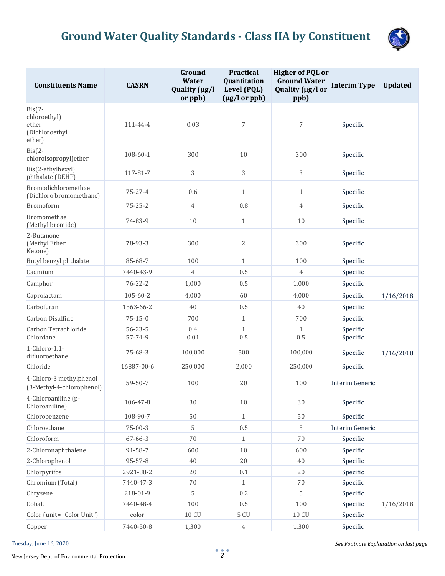

| <b>Constituents Name</b>                                      | <b>CASRN</b>  | Ground<br><b>Water</b><br>Quality (µg/l<br>or ppb) | <b>Practical</b><br>Quantitation<br>Level (PQL)<br>$(\mu g/l \text{ or } ppb)$ | <b>Higher of PQL or</b><br><b>Ground Water</b><br>Quality (µg/l or<br>ppb) | <b>Interim Type</b> | <b>Updated</b> |
|---------------------------------------------------------------|---------------|----------------------------------------------------|--------------------------------------------------------------------------------|----------------------------------------------------------------------------|---------------------|----------------|
| $Bis(2-$<br>chloroethyl)<br>ether<br>(Dichloroethyl<br>ether) | 111-44-4      | 0.03                                               | $\overline{7}$                                                                 | 7                                                                          | Specific            |                |
| $Bis(2-$<br>chloroisopropyl) ether                            | 108-60-1      | 300                                                | 10                                                                             | 300                                                                        | Specific            |                |
| Bis(2-ethylhexyl)<br>phthalate (DEHP)                         | 117-81-7      | 3                                                  | 3                                                                              | 3                                                                          | Specific            |                |
| Bromodichloromethae<br>(Dichloro bromomethane)                | $75 - 27 - 4$ | 0.6                                                | $\mathbf{1}$                                                                   | $\mathbf{1}$                                                               | Specific            |                |
| <b>Bromoform</b>                                              | $75 - 25 - 2$ | $\overline{4}$                                     | 0.8                                                                            | $\overline{4}$                                                             | Specific            |                |
| Bromomethae<br>(Methyl bromide)                               | 74-83-9       | 10                                                 | $\mathbf{1}$                                                                   | 10                                                                         | Specific            |                |
| 2-Butanone<br>(Methyl Ether<br>Ketone)                        | 78-93-3       | 300                                                | 2                                                                              | 300                                                                        | Specific            |                |
| Butyl benzyl phthalate                                        | 85-68-7       | 100                                                | $\mathbf{1}$                                                                   | 100                                                                        | Specific            |                |
| Cadmium                                                       | 7440-43-9     | $\overline{4}$                                     | 0.5                                                                            | $\overline{4}$                                                             | Specific            |                |
| Camphor                                                       | $76 - 22 - 2$ | 1,000                                              | 0.5                                                                            | 1,000                                                                      | Specific            |                |
| Caprolactam                                                   | 105-60-2      | 4,000                                              | 60                                                                             | 4,000                                                                      | Specific            | 1/16/2018      |
| Carbofuran                                                    | 1563-66-2     | 40                                                 | 0.5                                                                            | 40                                                                         | Specific            |                |
| Carbon Disulfide                                              | $75 - 15 - 0$ | 700                                                | $\mathbf{1}$                                                                   | 700                                                                        | Specific            |                |
| Carbon Tetrachloride                                          | $56 - 23 - 5$ | 0.4                                                | $\mathbf{1}$                                                                   | $\mathbf{1}$                                                               | Specific            |                |
| Chlordane                                                     | 57-74-9       | 0.01                                               | 0.5                                                                            | 0.5                                                                        | Specific            |                |
| 1-Chloro-1,1-<br>difluoroethane                               | $75 - 68 - 3$ | 100,000                                            | 500                                                                            | 100,000                                                                    | Specific            | 1/16/2018      |
| Chloride                                                      | 16887-00-6    | 250,000                                            | 2,000                                                                          | 250,000                                                                    | Specific            |                |
| 4-Chloro-3 methylphenol<br>(3-Methyl-4-chlorophenol)          | $59 - 50 - 7$ | 100                                                | 20                                                                             | 100                                                                        | Interim Generic     |                |
| 4-Chloroaniline (p-<br>Chloroaniline)                         | 106-47-8      | $30\,$                                             | $10\,$                                                                         | 30                                                                         | Specific            |                |
| Chlorobenzene                                                 | 108-90-7      | 50                                                 | $1\,$                                                                          | 50                                                                         | Specific            |                |
| Chloroethane                                                  | $75 - 00 - 3$ | 5                                                  | 0.5                                                                            | 5                                                                          | Interim Generic     |                |
| Chloroform                                                    | 67-66-3       | $70\,$                                             | $\mathbf{1}$                                                                   | $70\,$                                                                     | Specific            |                |
| 2-Chloronaphthalene                                           | 91-58-7       | 600                                                | $10\,$                                                                         | 600                                                                        | Specific            |                |
| 2-Chlorophenol                                                | 95-57-8       | 40                                                 | 20                                                                             | 40                                                                         | Specific            |                |
| Chlorpyrifos                                                  | 2921-88-2     | 20                                                 | $0.1\,$                                                                        | 20                                                                         | Specific            |                |
| Chromium (Total)                                              | 7440-47-3     | $70\,$                                             | $\mathbf{1}$                                                                   | 70                                                                         | Specific            |                |
| Chrysene                                                      | 218-01-9      | 5                                                  | 0.2                                                                            | 5                                                                          | Specific            |                |
| Cobalt                                                        | 7440-48-4     | 100                                                | $0.5\,$                                                                        | 100                                                                        | Specific            | 1/16/2018      |
| Color (unit="Color Unit")                                     | color         | <b>10 CU</b>                                       | 5 CU                                                                           | 10 CU                                                                      | Specific            |                |
| Copper                                                        | 7440-50-8     | 1,300                                              | $\ensuremath{4}$                                                               | 1,300                                                                      | Specific            |                |

New Jersey Dept. of Environmental Protection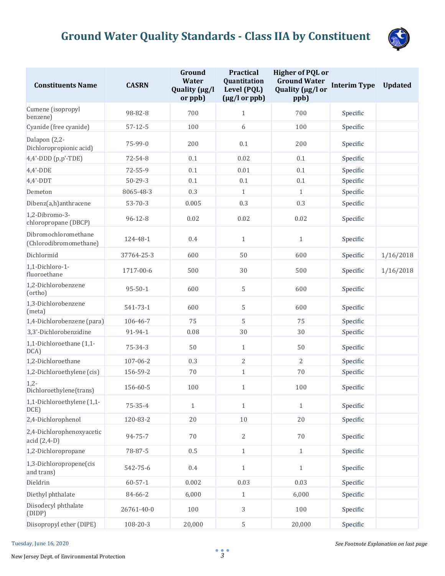

| <b>Constituents Name</b>                       | <b>CASRN</b>  | Ground<br><b>Water</b><br>Quality (µg/l<br>or ppb) | <b>Practical</b><br>Quantitation<br>Level (PQL)<br>$(\mu g/l \text{ or } ppb)$ | <b>Higher of PQL or</b><br><b>Ground Water</b><br>Quality (µg/l or<br>ppb) | <b>Interim Type</b> | <b>Updated</b> |
|------------------------------------------------|---------------|----------------------------------------------------|--------------------------------------------------------------------------------|----------------------------------------------------------------------------|---------------------|----------------|
| Cumene (isopropyl<br>benzene)                  | 98-82-8       | 700                                                | $\mathbf{1}$                                                                   | 700                                                                        | Specific            |                |
| Cyanide (free cyanide)                         | $57 - 12 - 5$ | 100                                                | 6                                                                              | 100                                                                        | Specific            |                |
| Dalapon (2,2-<br>Dichloropropionic acid)       | 75-99-0       | 200                                                | 0.1                                                                            | 200                                                                        | Specific            |                |
| 4,4'-DDD (p,p'-TDE)                            | 72-54-8       | 0.1                                                | 0.02                                                                           | 0.1                                                                        | Specific            |                |
| $4,4'$ -DDE                                    | $72 - 55 - 9$ | 0.1                                                | 0.01                                                                           | 0.1                                                                        | Specific            |                |
| $4,4'$ -DDT                                    | $50 - 29 - 3$ | 0.1                                                | 0.1                                                                            | 0.1                                                                        | Specific            |                |
| Demeton                                        | 8065-48-3     | 0.3                                                | $\mathbf{1}$                                                                   | $\mathbf{1}$                                                               | Specific            |                |
| Dibenz(a,h)anthracene                          | $53 - 70 - 3$ | 0.005                                              | 0.3                                                                            | 0.3                                                                        | Specific            |                |
| 1,2-Dibromo-3-<br>chloropropane (DBCP)         | $96 - 12 - 8$ | 0.02                                               | 0.02                                                                           | 0.02                                                                       | Specific            |                |
| Dibromochloromethane<br>(Chlorodibromomethane) | 124-48-1      | 0.4                                                | $\mathbf{1}$                                                                   | $\mathbf{1}$                                                               | Specific            |                |
| Dichlormid                                     | 37764-25-3    | 600                                                | 50                                                                             | 600                                                                        | Specific            | 1/16/2018      |
| 1,1-Dichloro-1-<br>fluoroethane                | 1717-00-6     | 500                                                | 30                                                                             | 500                                                                        | Specific            | 1/16/2018      |
| 1,2-Dichlorobenzene<br>(ortho)                 | $95 - 50 - 1$ | 600                                                | 5                                                                              | 600                                                                        | Specific            |                |
| 1,3-Dichlorobenzene<br>(meta)                  | 541-73-1      | 600                                                | 5                                                                              | 600                                                                        | Specific            |                |
| 1,4-Dichlorobenzene (para)                     | 106-46-7      | 75                                                 | 5                                                                              | 75                                                                         | Specific            |                |
| 3,3'-Dichlorobenzidine                         | 91-94-1       | 0.08                                               | 30                                                                             | 30                                                                         | Specific            |                |
| 1,1-Dichloroethane (1,1-<br>DCA)               | 75-34-3       | 50                                                 | $\mathbf{1}$                                                                   | 50                                                                         | Specific            |                |
| 1,2-Dichloroethane                             | 107-06-2      | 0.3                                                | $\overline{2}$                                                                 | 2                                                                          | Specific            |                |
| 1,2-Dichloroethylene (cis)                     | 156-59-2      | $70\,$                                             | $1\,$                                                                          | 70                                                                         | Specific            |                |
| $1,2-$<br>Dichloroethylene(trans)              | 156-60-5      | 100                                                | $\mathbf{1}$                                                                   | 100                                                                        | Specific            |                |
| 1,1-Dichloroethylene (1,1-<br>DCE)             | $75 - 35 - 4$ | $\mathbf{1}$                                       | $\mathbf{1}$                                                                   | $\mathbf{1}$                                                               | Specific            |                |
| 2,4-Dichlorophenol                             | 120-83-2      | $20\,$                                             | $10\,$                                                                         | 20                                                                         | Specific            |                |
| 2,4-Dichlorophenoxyacetic<br>acid (2,4-D)      | 94-75-7       | $70\,$                                             | $\overline{2}$                                                                 | $70\,$                                                                     | Specific            |                |
| 1,2-Dichloropropane                            | 78-87-5       | 0.5                                                | $\mathbf{1}$                                                                   | $\mathbf{1}$                                                               | Specific            |                |
| 1,3-Dichloropropene(cis<br>and trans)          | 542-75-6      | 0.4                                                | $\mathbf{1}$                                                                   | $\mathbf{1}$                                                               | Specific            |                |
| Dieldrin                                       | $60 - 57 - 1$ | 0.002                                              | 0.03                                                                           | 0.03                                                                       | Specific            |                |
| Diethyl phthalate                              | 84-66-2       | 6,000                                              | $\mathbf{1}$                                                                   | 6,000                                                                      | Specific            |                |
| Diisodecyl phthalate<br>(DIDP)                 | 26761-40-0    | 100                                                | 3                                                                              | 100                                                                        | Specific            |                |
| Diisopropyl ether (DIPE)                       | 108-20-3      | 20,000                                             | $\sqrt{5}$                                                                     | 20,000                                                                     | Specific            |                |

#### Tuesday, June 16, 2020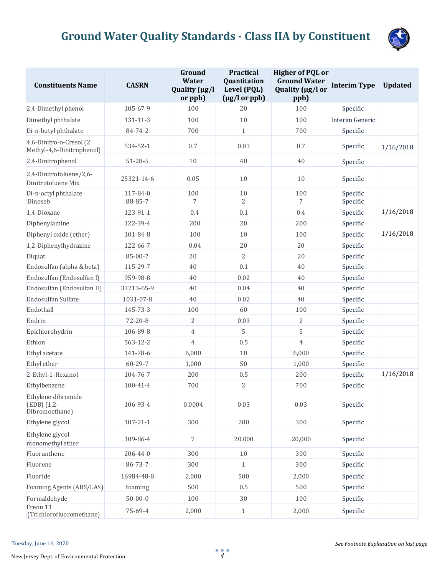

| <b>Constituents Name</b>                             | <b>CASRN</b>   | Ground<br><b>Water</b><br>Quality (µg/l<br>or ppb) | <b>Practical</b><br>Quantitation<br>Level (PQL)<br>$(\mu g/l \text{ or } ppb)$ | <b>Higher of PQL or</b><br><b>Ground Water</b><br>Quality (µg/l or<br>ppb) | <b>Interim Type</b> | <b>Updated</b> |
|------------------------------------------------------|----------------|----------------------------------------------------|--------------------------------------------------------------------------------|----------------------------------------------------------------------------|---------------------|----------------|
| 2,4-Dimethyl phenol                                  | 105-67-9       | 100                                                | 20                                                                             | 100                                                                        | Specific            |                |
| Dimethyl phthalate                                   | 131-11-3       | 100                                                | 10                                                                             | 100                                                                        | Interim Generic     |                |
| Di-n-butyl phthalate                                 | 84-74-2        | 700                                                | $\mathbf{1}$                                                                   | 700                                                                        | Specific            |                |
| 4,6-Dinitro-o-Cresol (2<br>Methyl-4,6-Dinitrophenol) | 534-52-1       | 0.7                                                | 0.03                                                                           | 0.7                                                                        | Specific            | 1/16/2018      |
| 2,4-Dinitrophenol                                    | $51 - 28 - 5$  | 10                                                 | 40                                                                             | 40                                                                         | Specific            |                |
| 2,4-Dinitrotoluene/2,6-<br>Dinitrotoluene Mix        | 25321-14-6     | 0.05                                               | 10                                                                             | 10                                                                         | Specific            |                |
| Di-n-octyl phthalate                                 | 117-84-0       | 100                                                | $10\,$                                                                         | 100                                                                        | Specific            |                |
| Dinoseb                                              | 88-85-7        | 7                                                  | $\overline{2}$                                                                 | 7                                                                          | Specific            |                |
| 1,4-Dioxane                                          | 123-91-1       | 0.4                                                | 0.1                                                                            | 0.4                                                                        | Specific            | 1/16/2018      |
| Diphenylamine                                        | 122-39-4       | 200                                                | 20                                                                             | 200                                                                        | Specific            |                |
| Diphenyl oxide (ether)                               | 101-84-8       | 100                                                | 10                                                                             | 100                                                                        | Specific            | 1/16/2018      |
| 1,2-Diphenylhydrazine                                | 122-66-7       | 0.04                                               | 20                                                                             | 20                                                                         | Specific            |                |
| Diquat                                               | 85-00-7        | 20                                                 | 2                                                                              | 20                                                                         | Specific            |                |
| Endosulfan (alpha & beta)                            | 115-29-7       | 40                                                 | 0.1                                                                            | 40                                                                         | Specific            |                |
| Endosulfan (Endosulfan I)                            | 959-98-8       | 40                                                 | 0.02                                                                           | 40                                                                         | Specific            |                |
| Endosulfan (Endosulfan II)                           | 33213-65-9     | 40                                                 | 0.04                                                                           | 40                                                                         | Specific            |                |
| Endosulfan Sulfate                                   | 1031-07-8      | 40                                                 | 0.02                                                                           | 40                                                                         | Specific            |                |
| Endothall                                            | 145-73-3       | 100                                                | 60                                                                             | 100                                                                        | Specific            |                |
| Endrin                                               | $72 - 20 - 8$  | $\mathbf{2}$                                       | 0.03                                                                           | $\mathbf{2}$                                                               | Specific            |                |
| Epichlorohydrin                                      | 106-89-8       | $\overline{4}$                                     | 5                                                                              | 5                                                                          | Specific            |                |
| Ethion                                               | 563-12-2       | $\overline{4}$                                     | 0.5                                                                            | $\overline{4}$                                                             | Specific            |                |
| Ethyl acetate                                        | 141-78-6       | 6,000                                              | $10\,$                                                                         | 6,000                                                                      | Specific            |                |
| Ethyl ether                                          | 60-29-7        | 1,000                                              | 50                                                                             | 1,000                                                                      | Specific            |                |
| 2-Ethyl-1-Hexanol                                    | 104-76-7       | 200                                                | 0.5                                                                            | 200                                                                        | Specific            | 1/16/2018      |
| Ethylbenzene                                         | $100 - 41 - 4$ | 700                                                | $\overline{2}$                                                                 | 700                                                                        | Specific            |                |
| Ethylene dibromide<br>(EDB) (1,2-<br>Dibromoethane)  | 106-93-4       | 0.0004                                             | 0.03                                                                           | 0.03                                                                       | Specific            |                |
| Ethylene glycol                                      | $107 - 21 - 1$ | 300                                                | 200                                                                            | 300                                                                        | Specific            |                |
| Ethylene glycol<br>monomethyl ether                  | 109-86-4       | 7                                                  | 20,000                                                                         | 20,000                                                                     | Specific            |                |
| Fluoranthene                                         | 206-44-0       | 300                                                | 10                                                                             | 300                                                                        | Specific            |                |
| Fluorene                                             | 86-73-7        | 300                                                | $\mathbf{1}$                                                                   | 300                                                                        | Specific            |                |
| Fluoride                                             | 16984-48-8     | 2,000                                              | 500                                                                            | 2,000                                                                      | Specific            |                |
| Foaming Agents (ABS/LAS)                             | foaming        | 500                                                | 0.5                                                                            | 500                                                                        | Specific            |                |
| Formaldehyde                                         | $50 - 00 - 0$  | 100                                                | 30                                                                             | 100                                                                        | Specific            |                |
| Freon 11<br>(Trichlorofluoromethane)                 | 75-69-4        | 2,000                                              | $\mathbf{1}$                                                                   | 2,000                                                                      | Specific            |                |

New Jersey Dept. of Environmental Protection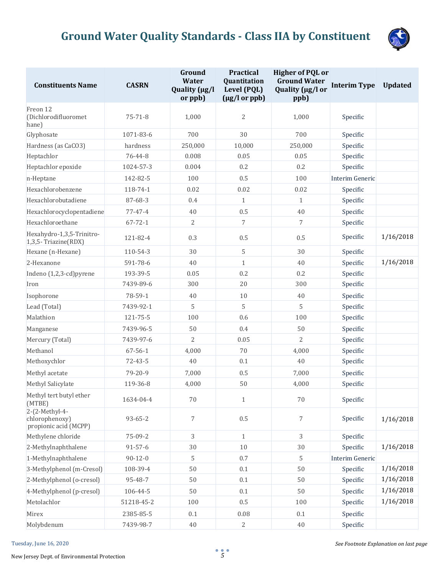

| <b>Constituents Name</b>                                  | <b>CASRN</b>  | Ground<br><b>Water</b><br>Quality (µg/l<br>or ppb) | <b>Practical</b><br>Quantitation<br>Level (PQL)<br>$(\mu g/l \text{ or } ppb)$ | <b>Higher of PQL or</b><br><b>Ground Water</b><br>Quality (µg/l or<br>ppb) | <b>Interim Type</b> | <b>Updated</b> |
|-----------------------------------------------------------|---------------|----------------------------------------------------|--------------------------------------------------------------------------------|----------------------------------------------------------------------------|---------------------|----------------|
| Freon 12<br>(Dichlorodifluoromet<br>hane)                 | $75 - 71 - 8$ | 1,000                                              | $\overline{2}$                                                                 | 1,000                                                                      | Specific            |                |
| Glyphosate                                                | 1071-83-6     | 700                                                | 30                                                                             | 700                                                                        | Specific            |                |
| Hardness (as CaCO3)                                       | hardness      | 250,000                                            | 10,000                                                                         | 250,000                                                                    | Specific            |                |
| Heptachlor                                                | 76-44-8       | 0.008                                              | 0.05                                                                           | 0.05                                                                       | Specific            |                |
| Heptachlor epoxide                                        | 1024-57-3     | 0.004                                              | 0.2                                                                            | 0.2                                                                        | Specific            |                |
| n-Heptane                                                 | 142-82-5      | 100                                                | 0.5                                                                            | 100                                                                        | Interim Generic     |                |
| Hexachlorobenzene                                         | 118-74-1      | 0.02                                               | 0.02                                                                           | 0.02                                                                       | Specific            |                |
| Hexachlorobutadiene                                       | 87-68-3       | 0.4                                                | $\mathbf{1}$                                                                   | $\mathbf{1}$                                                               | Specific            |                |
| Hexachlorocyclopentadiene                                 | $77 - 47 - 4$ | $40\,$                                             | 0.5                                                                            | 40                                                                         | Specific            |                |
| Hexachloroethane                                          | $67 - 72 - 1$ | $\overline{2}$                                     | $\overline{7}$                                                                 | 7                                                                          | Specific            |                |
| Hexahydro-1,3,5-Trinitro-<br>1,3,5- Triazine(RDX)         | 121-82-4      | 0.3                                                | 0.5                                                                            | 0.5                                                                        | Specific            | 1/16/2018      |
| Hexane (n-Hexane)                                         | 110-54-3      | 30                                                 | 5                                                                              | 30                                                                         | Specific            |                |
| 2-Hexanone                                                | 591-78-6      | 40                                                 | $\mathbf{1}$                                                                   | 40                                                                         | Specific            | 1/16/2018      |
| Indeno (1,2,3-cd) pyrene                                  | 193-39-5      | 0.05                                               | 0.2                                                                            | 0.2                                                                        | Specific            |                |
| Iron                                                      | 7439-89-6     | 300                                                | 20                                                                             | 300                                                                        | Specific            |                |
| Isophorone                                                | 78-59-1       | 40                                                 | $10\,$                                                                         | $40\,$                                                                     | Specific            |                |
| Lead (Total)                                              | 7439-92-1     | 5                                                  | 5                                                                              | 5                                                                          | Specific            |                |
| Malathion                                                 | 121-75-5      | 100                                                | 0.6                                                                            | 100                                                                        | Specific            |                |
| Manganese                                                 | 7439-96-5     | 50                                                 | 0.4                                                                            | 50                                                                         | Specific            |                |
| Mercury (Total)                                           | 7439-97-6     | $\overline{2}$                                     | 0.05                                                                           | $\overline{2}$                                                             | Specific            |                |
| Methanol                                                  | $67 - 56 - 1$ | 4,000                                              | $70\,$                                                                         | 4,000                                                                      | Specific            |                |
| Methoxychlor                                              | $72 - 43 - 5$ | 40                                                 | 0.1                                                                            | 40                                                                         | Specific            |                |
| Methyl acetate                                            | 79-20-9       | 7,000                                              | 0.5                                                                            | 7,000                                                                      | Specific            |                |
| Methyl Salicylate                                         | 119-36-8      | 4,000                                              | 50                                                                             | 4,000                                                                      | Specific            |                |
| Methyl tert butyl ether<br>(MTBE)                         | 1634-04-4     | $70\,$                                             | $\mathbf{1}$                                                                   | 70                                                                         | Specific            |                |
| 2-(2-Methyl-4-<br>chlorophenoxy)<br>propionic acid (MCPP) | $93 - 65 - 2$ | $\overline{7}$                                     | 0.5                                                                            | $\overline{7}$                                                             | Specific            | 1/16/2018      |
| Methylene chloride                                        | 75-09-2       | 3                                                  | $\mathbf{1}$                                                                   | 3                                                                          | Specific            |                |
| 2-Methylnaphthalene                                       | $91 - 57 - 6$ | 30                                                 | $10\,$                                                                         | 30                                                                         | Specific            | 1/16/2018      |
| 1-Methylnaphthalene                                       | $90 - 12 - 0$ | 5                                                  | 0.7                                                                            | 5                                                                          | Interim Generic     |                |
| 3-Methylphenol (m-Cresol)                                 | 108-39-4      | 50                                                 | $0.1\,$                                                                        | 50                                                                         | Specific            | 1/16/2018      |
| 2-Methylphenol (o-cresol)                                 | 95-48-7       | 50                                                 | $0.1\,$                                                                        | 50                                                                         | Specific            | 1/16/2018      |
| 4-Methylphenol (p-cresol)                                 | 106-44-5      | 50                                                 | 0.1                                                                            | 50                                                                         | Specific            | 1/16/2018      |
| Metolachlor                                               | 51218-45-2    | 100                                                | 0.5                                                                            | 100                                                                        | Specific            | 1/16/2018      |
| Mirex                                                     | 2385-85-5     | 0.1                                                | 0.08                                                                           | 0.1                                                                        | Specific            |                |
| Molybdenum                                                | 7439-98-7     | 40                                                 | $\sqrt{2}$                                                                     | 40                                                                         | Specific            |                |

New Jersey Dept. of Environmental Protection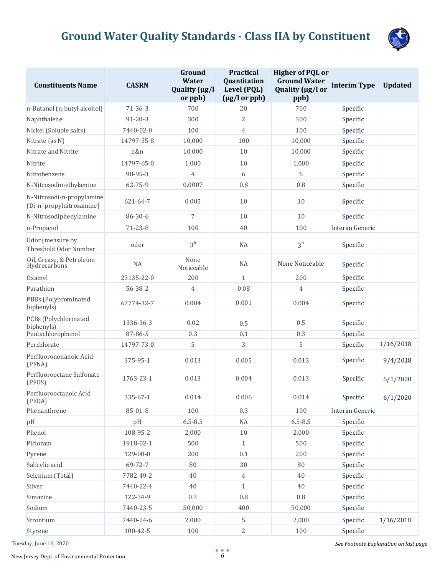

| <b>Constituents Name</b>                               | <b>CASRN</b>   | Ground<br><b>Water</b><br>Quality (µg/l<br>or ppb) | <b>Practical</b><br>Quantitation<br>Level (PQL)<br>$(\mu g/l \text{ or } ppb)$ | <b>Higher of PQL or</b><br><b>Ground Water</b><br>Quality (µg/l or<br>ppb) | <b>Interim Type</b> | <b>Updated</b> |
|--------------------------------------------------------|----------------|----------------------------------------------------|--------------------------------------------------------------------------------|----------------------------------------------------------------------------|---------------------|----------------|
| n-Butanol (n-butyl alcohol)                            | $71 - 36 - 3$  | 700                                                | 20                                                                             | 700                                                                        | Specific            |                |
| Naphthalene                                            | $91 - 20 - 3$  | 300                                                | $\overline{2}$                                                                 | 300                                                                        | Specific            |                |
| Nickel (Soluble salts)                                 | 7440-02-0      | 100                                                | $\overline{4}$                                                                 | 100                                                                        | Specific            |                |
| Nitrate (as N)                                         | 14797-55-8     | 10,000                                             | 100                                                                            | 10,000                                                                     | Specific            |                |
| Nitrate and Nitrite                                    | n&n            | 10,000                                             | 10                                                                             | 10,000                                                                     | Specific            |                |
| Nitrite                                                | 14797-65-0     | 1,000                                              | 10                                                                             | 1,000                                                                      | Specific            |                |
| Nitrobenzene                                           | 98-95-3        | $\overline{4}$                                     | 6                                                                              | 6                                                                          | Specific            |                |
| N-Nitrosodimethylamine                                 | 62-75-9        | 0.0007                                             | 0.8                                                                            | 0.8                                                                        | Specific            |                |
| N-Nitrosodi-n-propylamine<br>(Di-n- propylnitrosamine) | 621-64-7       | 0.005                                              | 10                                                                             | 10                                                                         | Specific            |                |
| N-Nitrosodiphenylamine                                 | 86-30-6        | 7                                                  | 10                                                                             | 10                                                                         | Specific            |                |
| n-Propanol                                             | $71 - 23 - 8$  | 100                                                | 40                                                                             | 100                                                                        | Interim Generic     |                |
| Odor (measure by<br>Threshold Odor Number              | odor           | 3 <sup>b</sup>                                     | <b>NA</b>                                                                      | 3 <sup>b</sup>                                                             | Specific            |                |
| Oil, Grease, & Petroleum<br>Hydrocarbons               | NA             | None<br>Noticeable                                 | <b>NA</b>                                                                      | None Noticeable                                                            | Specific            |                |
| Oxamyl                                                 | 23135-22-0     | 200                                                | $\mathbf{1}$                                                                   | 200                                                                        | Specific            |                |
| Parathion                                              | 56-38-2        | $\overline{4}$                                     | 0.08                                                                           | $\overline{4}$                                                             | Specific            |                |
| PBBs (Polybrominated<br>biphenyls)                     | 67774-32-7     | 0.004                                              | 0.001                                                                          | 0.004                                                                      | Specific            |                |
| PCBs (Polychlorinated<br>biphenyls)                    | 1336-36-3      | 0.02                                               | 0.5                                                                            | 0.5                                                                        | Specific            |                |
| Pentachlorophenol                                      | 87-86-5        | 0.3                                                | 0.1                                                                            | 0.3                                                                        | Specific            |                |
| Perchlorate                                            | 14797-73-0     | 5                                                  | 3                                                                              | 5                                                                          | Specific            | 1/16/2018      |
| Perfluorononanoic Acid<br>(PFNA)                       | 375-95-1       | 0.013                                              | 0.005                                                                          | 0.013                                                                      | Specific            | 9/4/2018       |
| Perfluorooctane Sulfonate<br>(PFOS)                    | 1763-23-1      | 0.013                                              | 0.004                                                                          | 0.013                                                                      | Specific            | 6/1/2020       |
| Perfluorooctanoic Acid<br>(PFOA)                       | 335-67-1       | 0.014                                              | 0.006                                                                          | 0.014                                                                      | Specific            | 6/1/2020       |
| Phenanthrene                                           | $85 - 01 - 8$  | 100                                                | 0.3                                                                            | 100                                                                        | Interim Generic     |                |
| pH                                                     | pH             | $6.5 - 8.5$                                        | $\rm NA$                                                                       | $6.5 - 8.5$                                                                | Specific            |                |
| Phenol                                                 | 108-95-2       | 2,000                                              | $10\,$                                                                         | 2,000                                                                      | Specific            |                |
| Picloram                                               | 1918-02-1      | 500                                                | $\mathbf{1}$                                                                   | 500                                                                        | Specific            |                |
| Pyrene                                                 | 129-00-0       | 200                                                | 0.1                                                                            | 200                                                                        | Specific            |                |
| Salicylic acid                                         | 69-72-7        | 80                                                 | $30\,$                                                                         | $80\,$                                                                     | Specific            |                |
| Selenium (Total)                                       | 7782-49-2      | $40\,$                                             | $\overline{4}$                                                                 | 40                                                                         | Specific            |                |
| Silver                                                 | 7440-22-4      | 40                                                 | $\mathbf{1}$                                                                   | 40                                                                         | Specific            |                |
| Simazine                                               | 122-34-9       | 0.3                                                | $0.8\,$                                                                        | $0.8\,$                                                                    | Specific            |                |
| Sodium                                                 | 7440-23-5      | 50,000                                             | 400                                                                            | 50,000                                                                     | Specific            |                |
| Strontium                                              | 7440-24-6      | 2,000                                              | 5                                                                              | 2,000                                                                      | Specific            | 1/16/2018      |
| Styrene                                                | $100 - 42 - 5$ | 100                                                | $\overline{2}$                                                                 | 100                                                                        | Specific            |                |

Tuesday, June 16, 2020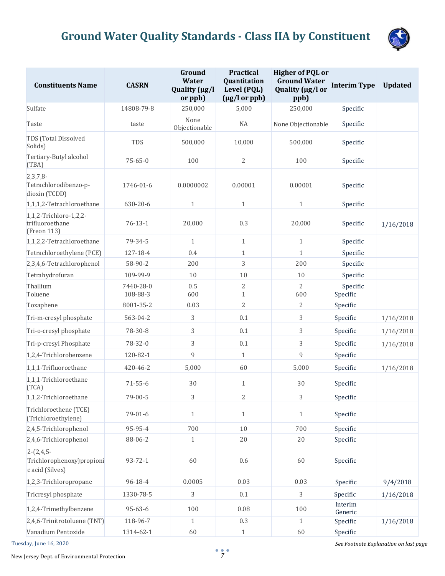

| <b>Constituents Name</b>                                     | <b>CASRN</b>  | Ground<br><b>Water</b><br>Quality (µg/l<br>or ppb) | <b>Practical</b><br>Quantitation<br>Level (PQL)<br>$(\mu g/l \text{ or } ppb)$ | <b>Higher of PQL or</b><br><b>Ground Water</b><br>Quality (µg/l or<br>ppb) | <b>Interim Type</b> | <b>Updated</b> |
|--------------------------------------------------------------|---------------|----------------------------------------------------|--------------------------------------------------------------------------------|----------------------------------------------------------------------------|---------------------|----------------|
| Sulfate                                                      | 14808-79-8    | 250,000                                            | 5,000                                                                          | 250,000                                                                    | Specific            |                |
| Taste                                                        | taste         | None<br>Objectionable                              | NA                                                                             | None Objectionable                                                         | Specific            |                |
| TDS (Total Dissolved<br>Solids)                              | TDS           | 500,000                                            | 10,000                                                                         | 500,000                                                                    | Specific            |                |
| Tertiary-Butyl alcohol<br>(TBA)                              | $75 - 65 - 0$ | 100                                                | 2                                                                              | 100                                                                        | Specific            |                |
| 2,3,7,8<br>Tetrachlorodibenzo-p-<br>dioxin (TCDD)            | 1746-01-6     | 0.0000002                                          | 0.00001                                                                        | 0.00001                                                                    | Specific            |                |
| 1,1,1,2-Tetrachloroethane                                    | 630-20-6      | $\mathbf{1}$                                       | $\mathbf{1}$                                                                   | $\mathbf{1}$                                                               | Specific            |                |
| 1,1,2-Trichloro-1,2,2-<br>trifluoroethane<br>(Freon 113)     | $76 - 13 - 1$ | 20,000                                             | 0.3                                                                            | 20,000                                                                     | Specific            | 1/16/2018      |
| 1,1,2,2-Tetrachloroethane                                    | 79-34-5       | $\mathbf{1}$                                       | $\mathbf{1}$                                                                   | $\mathbf{1}$                                                               | Specific            |                |
| Tetrachloroethylene (PCE)                                    | 127-18-4      | 0.4                                                | $\mathbf{1}$                                                                   | $\mathbf{1}$                                                               | Specific            |                |
| 2,3,4,6-Tetrachlorophenol                                    | 58-90-2       | 200                                                | 3                                                                              | 200                                                                        | Specific            |                |
| Tetrahydrofuran                                              | 109-99-9      | 10                                                 | 10                                                                             | 10                                                                         | Specific            |                |
| Thallium                                                     | 7440-28-0     | 0.5                                                | 2                                                                              | 2                                                                          | Specific            |                |
| Toluene                                                      | 108-88-3      | 600                                                | $\mathbf{1}$                                                                   | 600                                                                        | Specific            |                |
| Toxaphene                                                    | 8001-35-2     | 0.03                                               | $\overline{2}$                                                                 | $\mathbf{2}$                                                               | Specific            |                |
| Tri-m-cresyl phosphate                                       | 563-04-2      | 3                                                  | 0.1                                                                            | 3                                                                          | Specific            | 1/16/2018      |
| Tri-o-cresyl phosphate                                       | 78-30-8       | 3                                                  | 0.1                                                                            | 3                                                                          | Specific            | 1/16/2018      |
| Tri-p-cresyl Phosphate                                       | 78-32-0       | 3                                                  | 0.1                                                                            | 3                                                                          | Specific            | 1/16/2018      |
| 1,2,4-Trichlorobenzene                                       | 120-82-1      | 9                                                  | $\mathbf{1}$                                                                   | 9                                                                          | Specific            |                |
| 1,1,1-Trifluoroethane                                        | 420-46-2      | 5,000                                              | 60                                                                             | 5,000                                                                      | Specific            | 1/16/2018      |
| 1,1,1-Trichloroethane<br>(TCA)                               | $71 - 55 - 6$ | 30                                                 | $\mathbf{1}$                                                                   | 30                                                                         | Specific            |                |
| 1,1,2-Trichloroethane                                        | $79 - 00 - 5$ | 3                                                  | 2                                                                              | 3                                                                          | Specific            |                |
| Trichloroethene (TCE)<br>(Trichloroethylene)                 | $79 - 01 - 6$ | $\mathbf{1}$                                       | $\mathbf{1}$                                                                   | $\mathbf{1}$                                                               | Specific            |                |
| 2,4,5-Trichlorophenol                                        | 95-95-4       | 700                                                | $10\,$                                                                         | 700                                                                        | Specific            |                |
| 2,4,6-Trichlorophenol                                        | 88-06-2       | $\mathbf{1}$                                       | $20\,$                                                                         | $20\,$                                                                     | Specific            |                |
| $2-(2,4,5-$<br>Trichlorophenoxy) propioni<br>c acid (Silvex) | $93 - 72 - 1$ | 60                                                 | $0.6\,$                                                                        | 60                                                                         | Specific            |                |
| 1,2,3-Trichloropropane                                       | $96 - 18 - 4$ | 0.0005                                             | 0.03                                                                           | 0.03                                                                       | Specific            | 9/4/2018       |
| Tricresyl phosphate                                          | 1330-78-5     | 3                                                  | $0.1\,$                                                                        | 3                                                                          | Specific            | 1/16/2018      |
| 1,2,4-Trimethylbenzene                                       | $95 - 63 - 6$ | 100                                                | 0.08                                                                           | 100                                                                        | Interim<br>Generic  |                |
| 2,4,6-Trinitrotoluene (TNT)                                  | 118-96-7      | 1                                                  | 0.3                                                                            | $\mathbf{1}$                                                               | Specific            | 1/16/2018      |
| Vanadium Pentoxide                                           | 1314-62-1     | 60                                                 | $\,1\,$                                                                        | 60                                                                         | Specific            |                |

Tuesday, June 16, 2020